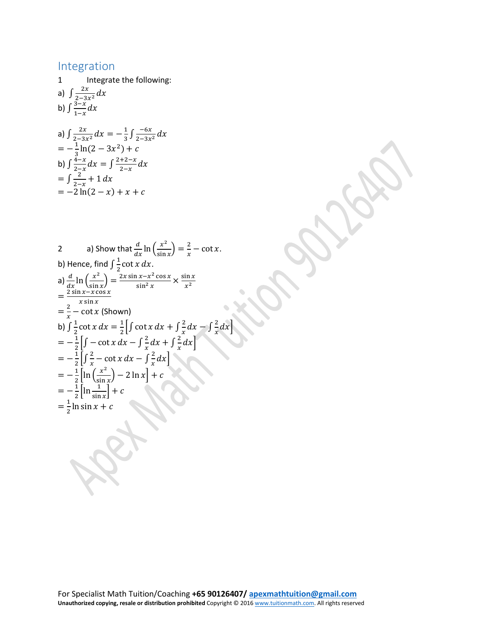## Integration

1 Integrate the following: a)  $\int \frac{2x}{2-3x^2}$ b)  $\int \frac{3-x}{1-x}$ a)  $\int \frac{2x}{2-3x^2} dx = -\frac{1}{3} \int \frac{-6x}{2-3x^2}$  $=-\frac{1}{3}\ln(2-3x^2)+c$ b)  $\int \frac{4-x}{2-x} dx = \int \frac{2+2-x}{2-x} dx$ <br>=  $\int \frac{2}{2-x} + 1 dx$  $=-2 \ln(2 - x) + x + c$ 

2 a) Show that  $\frac{d}{dx} \ln \left( \frac{x^2}{\sin x} \right) = \frac{2}{x} - \cot x$ . b) Hence, find  $\int_{0}^{1} \frac{dx}{x} \cos nx$ a)  $\frac{d}{dx}$  ln  $\left(\frac{x^2}{\sin x}\right) = \frac{2x \sin x - x^2 \cos x}{\sin^2 x} \times \frac{\sin x}{x^2}$  $x^2$  $=\frac{2 \sin x - x \cos x}{x \sin x}$ <br>=  $\frac{2}{x}$  - cot x (Shown) b)  $\int \frac{1}{2} \cot x \, dx = \frac{1}{2} \left[ \int \cot x \, dx + \int \frac{2}{x} \, dx - \int \frac{2}{x} \, dx \right]$  $= -\frac{1}{2} \left[ \int -\cot x \, dx - \int \frac{2}{x} dx + \int \frac{2}{x} dx \right]$  $= -\frac{1}{2} \left[ \int \frac{2}{x} - \cot x \, dx - \int \frac{2}{x} dx \right]$  $=-\frac{1}{2}\left[\ln\left(\frac{x^2}{\sin x}\right)-2\ln x\right]+c$  $=-\frac{1}{2}\left[\ln\frac{1}{\sin x}\right]+c$  $=\frac{1}{2}$ ln sin  $x + c$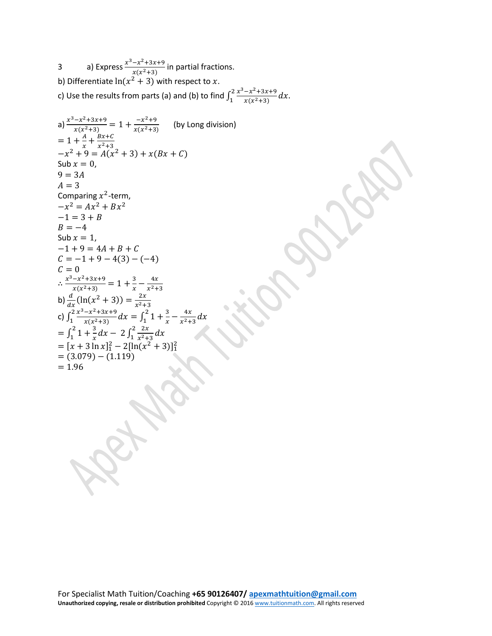3 a) Express  $\frac{x^3-x^2+3x+9}{x(x^2+3)}$  in partial fractions. b) Differentiate  $ln(x^2 + 3)$  with respect to x. c) Use the results from parts (a) and (b) to find  $\int_1^2 \frac{x^3 - x^2 + 3x + 9}{x(x^2+3)}$  $\int_1^2 \frac{x^3 - x^2 + 3x + 9}{x(x^2 + 3)} dx.$ a)  $\frac{x^3 - x^2 + 3x + 9}{x(x^2 + 3)} = 1 + \frac{-x^2 + 9}{x(x^2 + 3)}$  (by Long division)  $= 1 + \frac{A}{x} + \frac{Bx+C}{x^2+3}$  $-x^2 + 9 = A(x^2 + 3) + x(Bx + C)$ Sub  $x = 0$ ,  $9 = 3A$  $A = 3$ Comparing  $x^2$ -term,  $-x^2 = Ax^2 + Bx^2$  $-1 = 3 + B$  $B = -4$ Sub  $x = 1$ ,  $-1 + 9 = 4A + B + C$  $C = -1 + 9 - 4(3) - (-4)$ <br>  $C = 0$  $C = 0$ ∴  $\frac{x^3 - x^2 + 3x + 9}{x(x^2 + 3)} = 1 + \frac{3}{x} - \frac{4x}{x^2 + 3}$ b)  $\frac{d}{dx}(\ln(x^2 + 3)) = \frac{2x}{x^2+3}$ <br>c)  $\int_1^2 \frac{x^3 - x^2 + 3x + 9}{x(x^2+3)} dx = \int_1^2$  $\int_{1}^{2} \frac{x^3 - x^2 + 3x + 9}{x(x^2 + 3)} dx = \int_{1}^{2} 1 + \frac{3}{x} - \frac{4x}{x^2 + 3}$ 2 1  $=\int_{1}^{2} 1 + \frac{3}{x}$  $\int_{1}^{2} 1 + \frac{3}{x} dx - 2 \int_{1}^{2} \frac{2x}{x^2 + 3}$  $\int_{1}^{2} \frac{2x}{x^2+3} dx$  $= [x + 3 \ln x]_1^2 - 2[ln(x^2 + 3)]_1^2$  $= (3.079) - (1.119)$  $= 1.96$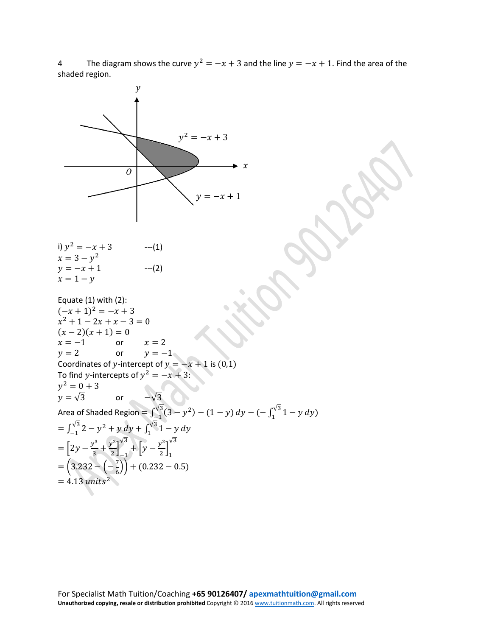4 The diagram shows the curve  $y^2 = -x + 3$  and the line  $y = -x + 1$ . Find the area of the shaded region.

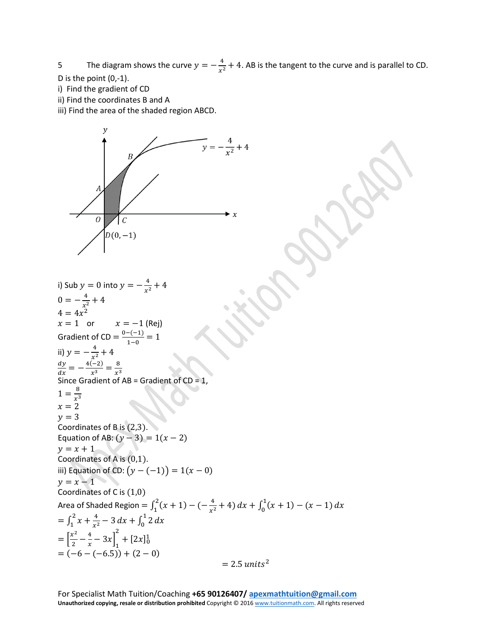5 The diagram shows the curve  $y = -\frac{4}{x^2} + 4$ . AB is the tangent to the curve and is parallel to CD.

- D is the point (0,-1).
- i) Find the gradient of CD
- ii) Find the coordinates B and A
- iii) Find the area of the shaded region ABCD.



i) Sub  $y = 0$  into  $y = -\frac{4}{x^2} + 4$  $0 = -\frac{4}{x^2} + 4$  $4 = 4x^2$  $x = 1$  or  $x = -1$  (Rej) Gradient of CD =  $\frac{0-(-1)}{1-0} = 1$ ii)  $y = -\frac{4}{x^2} + 4$  $=-\frac{4(-2)}{x^3}=\frac{8}{x^3}$ Since Gradient of AB = Gradient of CD = 1,  $1 = \frac{8}{x^3}$  $x = 2$  $y = 3$ Coordinates of B is (2,3). Equation of AB:  $(y - 3) = 1(x - 2)$  $y = x + 1$ Coordinates of A is (0,1). iii) Equation of CD:  $(y - (-1)) = 1(x - 0)$  $y = x - 1$ Coordinates of C is (1,0) Area of Shaded Region =  $\int_{1}^{2} (x + 1) - (-\frac{4}{x^{2}} + 4) dx + \int_{0}^{1} (x + 1) - (x - 1) dx$  $=\int_1^2 x + \frac{4}{x^2} - 3 dx + \int_0^1 2$  $\boldsymbol{0}$  $= \left[\frac{x^2}{2} - \frac{4}{x} - 3x\right]$ 1 2  $+[2x]_0^1$  $= (-6 - (-6.5)) + (2 - 0)$  $= 2.5$  units<sup>2</sup>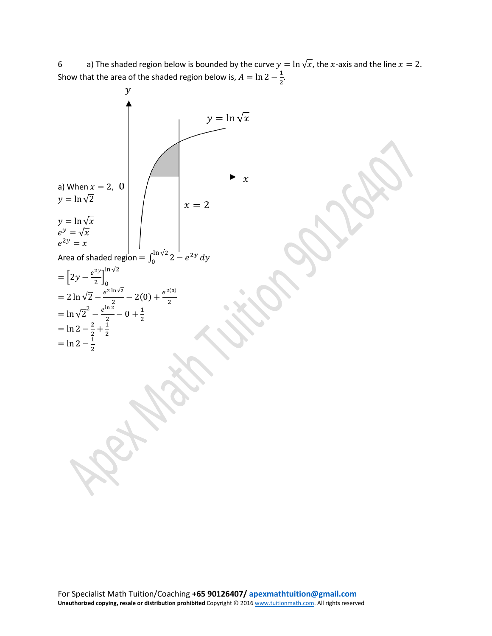6 a) The shaded region below is bounded by the curve  $y = \ln \sqrt{x}$ , the x-axis and the line  $x = 2$ . Show that the area of the shaded region below is,  $A = \ln 2 - \frac{1}{2}$ .

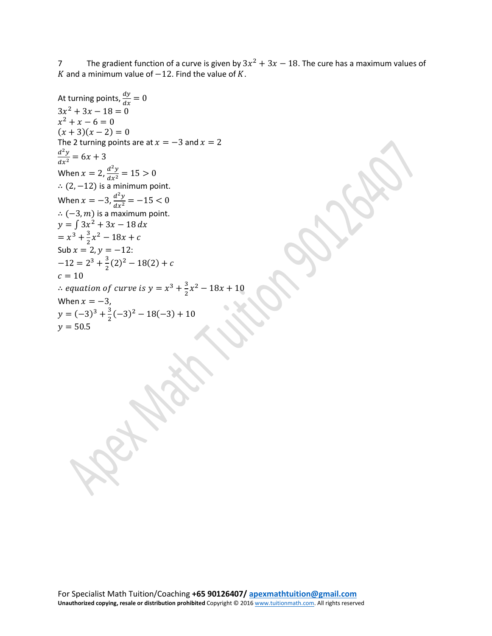7 The gradient function of a curve is given by  $3x^2 + 3x - 18$ . The cure has a maximum values of K and a minimum value of  $-12$ . Find the value of K.

At turning points,  $\frac{dy}{dx} = 0$  $3x^2 + 3x - 18 = 0$  $x^2 + x - 6 = 0$  $(x + 3)(x - 2) = 0$ The 2 turning points are at  $x = -3$  and  $x = 2$  $rac{d^2y}{dx^2} = 6x + 3$ When  $x = 2$ ,  $\frac{d^2y}{dx^2} = 15 > 0$ ∴  $(2, -12)$  is a minimum point. When  $x = -3$ ,  $\frac{d^2y}{dx^2} = -15 < 0$  $\therefore (-3, m)$  is a maximum point.  $y = \int 3x^2 + 3x - 18$  $= x^3 + \frac{3}{2}x^2 - 18x + c$ Sub  $x = 2$ ,  $y = -12$ :  $-12 = 2^3 + \frac{3}{2}(2)^2 - 18(2) + c$  $c = 10$  $\therefore$  equation of curve is  $y = x^3 + \frac{3}{2}x^2 - 18x + 10$ When  $x = -3$ ,  $y = (-3)^3 + \frac{3}{2}(-3)^2 - 18(-3) + 10$  $y = 50.5$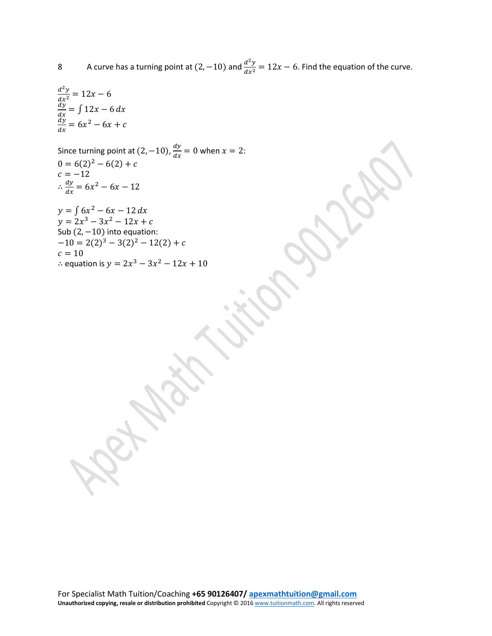8 A curve has a turning point at  $(2, -10)$  and  $\frac{d^2y}{dx^2} = 12x - 6$ . Find the equation of the curve.

$$
\frac{d^2y}{dx^2} = 12x - 6
$$
  

$$
\frac{dy}{dx} = \int 12x - 6 dx
$$
  

$$
\frac{dy}{dx} = 6x^2 - 6x + c
$$

Since turning point at  $(2, -10)$ ,  $\frac{dy}{dx} = 0$  when  $x = 2$ :  $0 = 6(2)^2 - 6(2) + c$  $c = -12$  $\therefore \frac{dy}{dx} = 6x^2 - 6x - 12$ 

 $y = \int 6x^2 - 6x - 12$  $y = 2x^3 - 3x^2 - 12x + c$ Sub  $(2, -10)$  into equation:  $-10 = 2(2)^3 - 3(2)^2 - 12(2) + c$  $c = 10$ ∴ equation is  $y = 2x^3 - 3x^2 - 12x + 10$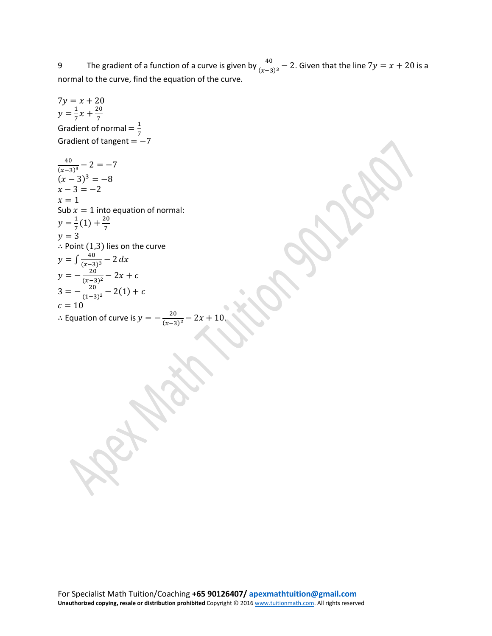9 The gradient of a function of a curve is given by  $\frac{40}{(x-3)^3} - 2$ . Given that the line  $7y = x + 20$  is a normal to the curve, find the equation of the curve.

 $7y = x + 20$  $y = \frac{1}{7}x + \frac{20}{7}$ Gradient of normal =  $\frac{1}{7}$  $Gradient of tangent =  $-7$$  $\frac{40}{(x-3)^3} - 2 = -7$  $(x-3)^3 = -8$  $x - 3 = -2$  $x = 1$ Sub  $x = 1$  into equation of normal:  $y = \frac{1}{7}(1) + \frac{20}{7}$  $y = 3$ ∴ Point (1,3) lies on the curve  $y = \int \frac{40}{(x-3)^3} - 2$  $y = -\frac{20}{(x-3)^2} - 2x + c$  $3 = -\frac{20}{(1-3)^2} - 2(1) + c$  $c = 10$ ∴ Equation of curve is  $y = -\frac{20}{(x-3)^2} - 2x + 10$ .